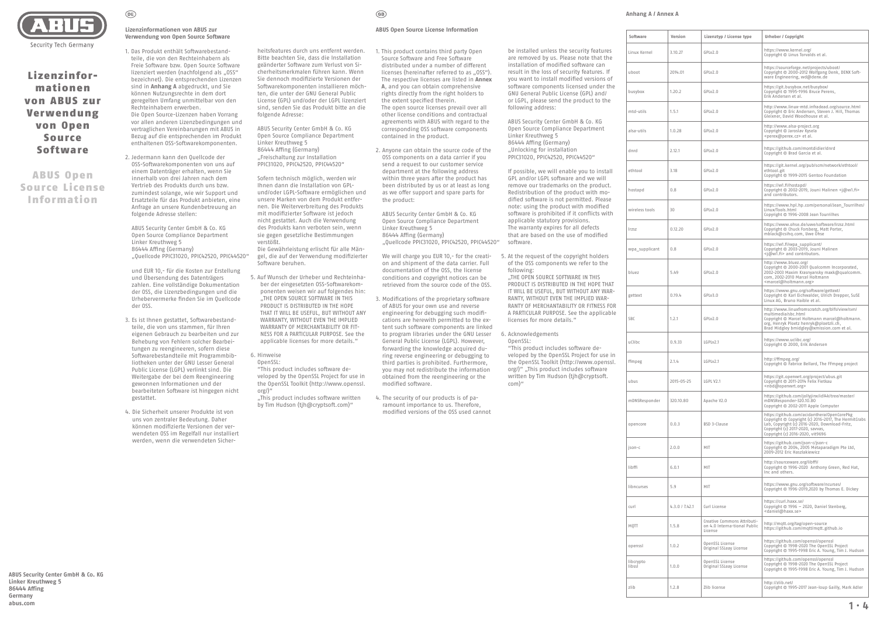# **ABUS Open Source License Information**

- 1. This product contains third party Open Source Software and Free Software distributed under a number of different licenses (hereinafter referred to as "0SS"). The respective licenses are listed in **Annex A**, and you can obtain comprehensive rights directly from the right holders to the extent specified therein. The open source licenses prevail over all other license conditions and contractual agreements with ABUS with regard to the corresponding OSS software components contained in the product.
- 2. Anyone can obtain the source code of the OSS components on a data carrier if you send a request to our customer service department at the following address within three years after the product has been distributed by us or at least as long as we offer support and spare parts for the product:

We will charge you EUR 10,- for the creation and shipment of the data carrier. Full documentation of the OSS, the license conditions and copyright notices can be retrieved from the source code of the OSS.

ABUS Security Center GmbH & Co. KG Open Source Compliance Department Linker Kreuthweg 5 86444 Affing (Germany) "Quellcode PPIC31020, PPIC42520, PPIC44520"

- 3. Modifications of the proprietary software of ABUS for your own use and reverse engineering for debugging such modifications are herewith permitted to the extent such software components are linked to program libraries under the GNU Lesser General Public License (LGPL). However, forwarding the knowledge acquired during reverse engineering or debugging to third parties is prohibited. Furthermore, you may not redistribute the information obtained from the reengineering or the modified software.
- 4. The security of our products is of paramount importance to us. Therefore, modified versions of the OSS used cannot

**Lizenzinformationen von ABUS zur Verwendung von Open Source Software**

 $(\widehat{DE})$ 

1. Das Produkt enthält Softwarebestandteile, die von den Rechteinhabern als Freie Software bzw. Open Source Software lizenziert werden (nachfolgend als "0SS" bezeichnet). Die entsprechenden Lizenzen sind in **Anhang A** abgedruckt, und Sie können Nutzungsrechte in dem dort geregelten Umfang unmittelbar von den Rechteinhabern erwerben. Die Open Source-Lizenzen haben Vorrang

vor allen anderen Lizenzbedingungen und vertraglichen Vereinbarungen mit ABUS in Bezug auf die entsprechenden im Produkt enthaltenen OSS-Softwarekomponenten.

2. Jedermann kann den Quellcode der OSS-Softwarekomponenten von uns auf einem Datenträger erhalten, wenn Sie innerhalb von drei Jahren nach dem Vertrieb des Produkts durch uns bzw. zumindest solange, wie wir Support und Ersatzteile für das Produkt anbieten, eine Anfrage an unsere Kundenbetreuung an folgende Adresse stellen:

> ..This product includes software written by Tim Hudson (tjh@cryptsoft.com)"

 $\binom{6}{5}$ 

ABUS Security Center GmbH & Co. KG Open Source Compliance Department Linker Kreuthweg 5 86444 Affing (Germany) "Quellcode PPIC31020, PPIC42520, PPIC44520"

und EUR 10,- für die Kosten zur Erstellung und Übersendung des Datenträgers zahlen. Eine vollständige Dokumentation der OSS, die Lizenzbedingungen und die Urhebervermerke finden Sie im Quellcode der OSS.

- 3. Es ist Ihnen gestattet, Softwarebestandteile, die von uns stammen, für Ihren eigenen Gebrauch zu bearbeiten und zur Behebung von Fehlern solcher Bearbeitungen zu reengineeren, sofern diese Softwarebestandteile mit Programmbibliotheken unter der GNU Lesser General Public License (LGPL) verlinkt sind. Die Weitergabe der bei dem Reengineering gewonnen Informationen und der bearbeiteten Software ist hingegen nicht gestattet.
- 4. Die Sicherheit unserer Produkte ist von uns von zentraler Bedeutung. Daher können modifizierte Versionen der verwendeten OSS im Regelfall nur installiert werden, wenn die verwendeten Sicher-



Lizenzinformationen von ABUS zur Verwendung von Open Source Software

# ABUS Open Source License Information

**ABUS Security Center GmbH & Co. KG Linker Kreuthweg 5 86444 Affing Germany abus.com 1 ∙ 4**

# **Anhang A / Annex A**

heitsfeatures durch uns entfernt werden. Bitte beachten Sie, dass die Installation geänderter Software zum Verlust von Sicherheitsmerkmalen führen kann. Wenn Sie dennoch modifizierte Versionen der Softwarekomponenten installieren möchten, die unter der GNU General Public License (GPL) und/oder der LGPL lizenziert sind, senden Sie das Produkt bitte an die folgende Adresse:

ABUS Security Center GmbH & Co. KG Open Source Compliance Department Linker Kreuthweg 5 86444 Affing (Germany) "Freischaltung zur Installation PPIC31020, PPIC42520, PPIC44520"

Sofern technisch möglich, werden wir Ihnen dann die Installation von GPLund/oder LGPL-Software ermöglichen und unsere Marken von dem Produkt entfernen. Die Weiterverbreitung des Produkts mit modifizierter Software ist jedoch nicht gestattet. Auch die Verwendung des Produkts kann verboten sein, wenn sie gegen gesetzliche Bestimmungen verstößt.

Die Gewährleistung erlischt für alle Mängel, die auf der Verwendung modifizierter Software beruhen.

- 5. Auf Wunsch der Urheber und Rechteinhaber der eingesetzten OSS-Softwarekomponenten weisen wir auf folgendes hin: ..THE OPEN SOURCE SOFTWARE IN THIS PRODUCT IS DISTRIBUTED IN THE HOPE THAT IT WILL BE USEFUL, BUT WITHOUT ANY WARRANTY, WITHOUT EVEN THE IMPLIED WARRANTY OF MERCHANTABILITY OR FIT-NESS FOR A PARTICULAR PURPOSE. See the applicable licenses for more details."
- 6. Hinweise

OpenSSL:

"This product includes software developed by the OpenSSL Project for use in the OpenSSL Toolkit (http://www.openssl. org/)"

be installed unless the security features are removed by us. Please note that the installation of modified software can result in the loss of security features. If you want to install modified versions of software components licensed under the GNU General Public License (GPL) and/ or LGPL, please send the product to the following address:

ABUS Security Center GmbH & Co. KG Open Source Compliance Department Linker Kreuthweg 5 86444 Affing (Germany) "Unlocking for installation PPIC31020, PPIC42520, PPIC44520"

If possible, we will enable you to install GPL and/or LGPL software and we will remove our trademarks on the product. Redistribution of the product with modified software is not permitted. Please note: using the product with modified software is prohibited if it conflicts with applicable statutory provisions. The warranty expires for all defects that are based on the use of modified software.

- 5. At the request of the copyright holders of the OSS components we refer to the following: "THE OPEN SOURCE SOFTWARE IN THIS PRODUCT IS DISTRIBUTED IN THE HOPE THAT IT WILL BE USEFUL, BUT WITHOUT ANY WAR-RANTY, WITHOUT EVEN THE IMPLIED WAR-RANTY OF MERCHANTABILITY OR FITNESS FOR
- A PARTICULAR PURPOSE. See the applicable licenses for more details." 6. Acknowledgements

OpenSSL: "This product includes software developed by the OpenSSL Project for use in the OpenSSL Toolkit (http://www.openssl. org/)" "This product includes software written by Tim Hudson (tjh@cryptsoft. com)"

| Software            | Version        | Lizenztyp / License type                                               | Urheber / Copyright                                                                                                                                                                                                         |
|---------------------|----------------|------------------------------------------------------------------------|-----------------------------------------------------------------------------------------------------------------------------------------------------------------------------------------------------------------------------|
| Linux Kernel        | 3.10.27        | GPLv2.0                                                                | https://www.kernel.org/<br>Copyright © Linus Torvalds et al.                                                                                                                                                                |
| uboot               | 2014.01        | GPLv2.0                                                                | https://sourceforge.net/projects/uboot/<br>Copyright © 2000-2012 Wolfgang Denk, DENX Soft-<br>ware Engineering, wd@denx.de                                                                                                  |
| busybox             | 1.20.2         | GPLv2.0                                                                | https://git.busybox.net/busybox/<br>Copyright © 1995-1996 Bruce Perens,<br>Erik Andersen et al.                                                                                                                             |
| mtd-utils           | 1.5.1          | GPLv2.0                                                                | http://www.linux-mtd.infradead.org/source.html<br>Copyright © Eric Andersen, Steven J. Hill, Thomas<br>Gleixner, David Woodhouse et al.                                                                                     |
| alsa-utils          | 1.0.28         | GPLv2.0                                                                | http://www.alsa-project.org<br>Copyright © Jaroslav Kysela<br><perex@perex.cz> et al.</perex@perex.cz>                                                                                                                      |
| dnrd                | 2.12.1         | GPLv2.0                                                                | https://github.com/montdidier/dnrd<br>Copyright © Brad Garcia et al.                                                                                                                                                        |
| ethtool             | 3.18           | GPLv2.0                                                                | https://git.kernel.org/pub/scm/network/ethtool/<br>ethtool.git<br>Copyright © 1999-2015 Gentoo Foundation                                                                                                                   |
| hostapd             | 0.8            | GPLv2.0                                                                | https://w1.fi/hostapd/<br>Copyright © 2002-2019, Jouni Malinen <j@w1.fi><br/>and contributors.</j@w1.fi>                                                                                                                    |
| wireless tools      | 30             | GPLv2.0                                                                | https://www.hpl.hp.com/personal/Jean Tourrilhes/<br>Linux/Tools.html<br>Copyright © 1996-2008 Jean Tourrilhes                                                                                                               |
| Irzsz               | 0.12.20        | GPLv2.0                                                                | https://www.ohse.de/uwe/software/lrzsz.html<br>Copyright © Chuck Forsberg, Matt Porter,<br>mblack@csihg.com, Uwe Ohse                                                                                                       |
| wpa_supplicant      | 0.8            | GPLv2.0                                                                | https://w1.fi/wpa supplicant/<br>Copyright © 2003-2019, Jouni Malinen<br><j@w1.fi> and contributors.</j@w1.fi>                                                                                                              |
| bluez               | 5.49           | GPLv2.0                                                                | http://www.bluez.org/<br>Copyright © 2000-2001 Qualcomm Incorporated,<br>2002-2003 Maxim Krasnyansky maxk@qualcomm.<br>com, 2002-2010 Marcel Holtmann<br><marcel@holtmann.org></marcel@holtmann.org>                        |
| gettext             | 0.19.4         | GPLv3.0                                                                | https://www.gnu.org/software/gettext/<br>Copyright © Karl Eichwalder, Ulrich Drepper, SuSE<br>Linux AG, Bruno Haible et al.                                                                                                 |
| SBC                 | 1.2.1          | GPLv2.0                                                                | http://www.linuxfromscratch.org/blfs/view/svn/<br>multimedia/sbc.html<br>Copyright © Marcel Holtmann marcel@holtmann.<br>org, Henryk Ploetz henryk@ploetzli.ch,<br>Brad Midgley bmidgley@xmission.com et al.                |
| uClibc              | 0.9.33         | LGPLv2.1                                                               | https://www.uclibc.org/<br>Copyright © 2000, Erik Andersen                                                                                                                                                                  |
| ffmpeg              | 2.1.4          | LGPLv2.1                                                               | http://ffmpeg.org/<br>Copyright © Fabrice Bellard, The FFmpeg project                                                                                                                                                       |
| ubus                | 2015-05-25     | LGPL V2.1                                                              | https://git.openwrt.org/project/ubus.git<br>Copyright © 2011-2014 Felix Fietkau<br><nbd@openwrt.org></nbd@openwrt.org>                                                                                                      |
| mDNSResponder       | 320.10.80      | Apache V2.0                                                            | https://github.com/jollyjinx/idl4k/tree/master/<br>mDNSResponder-320.10.80<br>Copyright © 2002-2011 Apple Computer                                                                                                          |
| opencore            | 0.0.3          | BSD 3-Clause                                                           | https://github.com/acidanthera/0penCorePkg<br>Copyright © Copyright (c) 2016-2017, The HermitCrabs<br>Lab, Copyright (c) 2016-2020, Download-Fritz,<br>Copyright (c) 2017-2020, savvas,<br>Copyright (c) 2016-2020, vit9696 |
| json-c              | 2.0.0          | MIT                                                                    | https://github.com/json-c/json-c<br>Copyright © 2004, 2005 Metaparadigm Pte Ltd,<br>2009-2012 Eric Haszlakiewicz                                                                                                            |
| libffi              | 6.0.1          | MIT                                                                    | http://sourceware.org/libffi/<br>Copyright © 1996-2020 Anthony Green, Red Hat,<br>Inc and others.                                                                                                                           |
| libncurses          | 5.9            | MIT                                                                    | https://www.gnu.org/software/ncurses/<br>Copyright © 1996-2019,2020 by Thomas E. Dickey                                                                                                                                     |
| curl                | 4.3.0 / 7.42.1 | Curl License                                                           | https://curl.haxx.se/<br>Copyright © 1996 - 2020, Daniel Stenberg,<br><daniel@haxx.se></daniel@haxx.se>                                                                                                                     |
| MQTT                | 1.5.8          | Creative Commons Attributi-<br>on 4.0 Interna-tional Public<br>License | http://mqtt.org/tag/open-source<br>https://github.com/mqtt/mqtt.github.io                                                                                                                                                   |
| openssl             | 1.0.2          | OpenSSL License<br>Original SSLeay License                             | https://github.com/openssl/openssl<br>Copyright @ 1998-2020 The OpenSSL Project<br>Copyright © 1995-1998 Eric A. Young, Tim J. Hudson                                                                                       |
| libcrypto<br>libssl | 1.0.0          | OpenSSL License<br>Original SSLeay License                             | https://github.com/openssl/openssl<br>Copyright @ 1998-2020 The OpenSSL Project<br>Copyright © 1995-1998 Eric A. Young, Tim J. Hudson                                                                                       |
| zlib                | 1.2.8          | Zlib license                                                           | http://zlib.net/<br>Copyright © 1995-2017 Jean-loup Gailly, Mark Adler                                                                                                                                                      |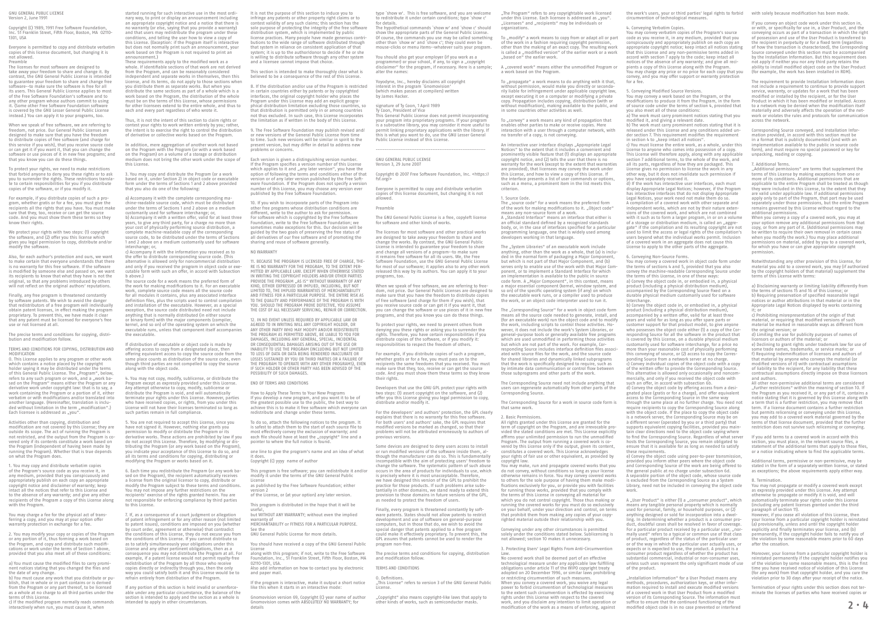started running for such interactive use in the most ordinary way, to print or display an announcement an appropriate copyright notice and a notice that there is no warranty (or else, saying that you provide a warranty) and that users may redistribute the program under these conditions, and telling the user how to view a copy of this License. (Exception: if the Program itself is interactive but does not normally print such an announcement, your work based on the Program is not required to print an announcement.)

amioditement.*)*<br>These requirements apply to the modified work as a whole. If identifiable sections of that work are not derived from the Program, and can be reasonably considered independent and separate works in themselves, then this License, and its terms, do not apply to those sections when you distribute them as separate works. But when you distribute the same sections as part of a whole which is a work based on the Program, the distribution of the whole must be on the terms of this License, whose permissions for other licensees extend to the entire whole, and thus to each and every part regardless of who wrote it.

Thus, it is not the intent of this section to claim rights or contest your rights to work written entirely by you; rather, the intent is to exercise the right to control the distribution of derivative or collective works based on the Program.

In addition, mere aggregation of another work not based on the Program with the Program (or with a work based on the Program) on a volume of a storage or distribution medium does not bring the other work under the scope of this License.

o above.,<br>The source code for a work means the preferred form of the source code for a work firems the preferred form of the work for making modifications to it. For an executable work, complete source code means all the source code for all modules it contains, plus any associated inter definition files, plus the scripts used to control compilation and installation of the executable. However, as a special and misdimetion of the executione: nowever, as a special<br>exception, the source code distributed need not include anything that is normally distributed (in either source or binary form) with the major components (compile kernel, and so on) of the operating system on which the executable runs, unless that component itself accompanies the executable.

3. You may copy and distribute the Program (or a work based on it, under Section 2) in object code or executable form under the terms of Sections 1 and 2 above provided that you also do one of the following:

a) Accompany it with the complete corresponding ma chine-readable source code, which must be distributed under the terms of Sections 1 and 2 above on a medium re terms or sections I and 2 above<br>arily used for software interchange; b) Accompany it with a written offer, valid for at least three years, to give any third party, for a charge no more than your cost of physically performing source distribution, a complete machine-readable copy of the corresponding surpress massime readdors copy or the corresponding<br>ource code, to be distributed under the terms of Section 1 and 2 above on a medium customarily used for software nterchange: or,

c) Accompany it with the information you received as to the offer to distribute corresponding source code. (This alternative is allowed only for noncommercial distribution and only if you received the program in object code or exe-cutable form with such an offer, in accord with Subsection b above.)

If distribution of executable or object code is made by offering access to copy from a designated place, then offering equivalent access to copy the source code from the same place counts as distribution of the source code, even that the community controlled to copy the source along with the object code.

9. The Free Software Foundation may publish revised and or new versions of the General Public License from time to time. Such new versions will be similar in spirit to the present version, but may differ in detail to address new problems or concerns.

4. You may not copy, modify, sublicense, or distribute the Program except as expressly provided under this License. Any attempt otherwise to copy, modify, sublicense or distribute the Program is void, and will automatically terminate your rights under this License. However, parties who have received copies, or rights, from you under this License will not have their licenses terminated so long as such parties remain in full compliance.

10. If you wish to incorporate parts of the Program into<br>other free programs whose distribution conditions are other free programs whose distribution different, write to the author to ask for permis For software which is copyrighted by the Free Software Foundation, write to the Free Software Foundation; we sometimes make exceptions for this. Our decision will be guided by the two goals of preserving the free status of all derivatives of our free software and of promoting the sharing and reuse of software generally.

5. You are not required to accept this License, since you have not signed it. However, nothing else grants you permission to modify or distribute the Program or its derivative works. These actions are prohibited by law if you do not accept this License. Therefore, by modifying or distributing the Program (or any work based on the Program), you indicate your acceptance of this License to do so, and all its terms and conditions for copying, distributing or modifying the Program or works based on it.

6. Each time you redistribute the Program (or any work based on the Program), the recipient automatically receives a license from the original licensor to copy, distribute or modify the Program subject to these terms and conditions. You may not impose any further restrictions on the recipients' exercise of the rights granted herein. You are not responsible for enforcing compliance by third parties to this License.

7. If, as a consequence of a court judgment or allegation of patent infringement or for any other reason (not limited of to patent issues), conditions are imposed on you (whether by court order, agreement or otherwise) that contradict the conditions of this License, they do not excuse you from the conditions of this License. If you cannot distribute so as to satisfy simultaneously your obligations under this License and any other pertinent obligations, then as a consequence you may not distribute the Program at all. For example, if a patent license would not permit royalty-free redistribution of the Program by all those who receive copies directly or indirectly through you, then the only way you could satisfy both it and this License would be to refrain entirely from distribution of the Program.

License<br>along with this program: if not write to the Free Software along with this program; if not, write to the Free Software Foundation, Inc., 51 Franklin Street, Fifth Floor, Boston, MA 02110-1301, USA.

Gnomovision version 69, Copyright (C) year name of author Gnomovision comes with ABSOLUTELY NO WARRANTY; for details c) If the modified program normally reads commands intended to apply in other circumstances. Gnomovision comes with ABSOLUTELY NO WARRANTY; for other kinds of works, such as semiconductor masks. work, and you disclaim any

If any portion of this section is held invalid or unenforceable under any particular circumstance, the balance of the section is intended to apply and the section as a whole is intended to apply in other circumstances.

Yoyodyne, Inc., hereby disclaims all copyright interest in the program `Gnomovision' (which makes passes at compilers) written by James Hacker.

It is not the purpose of this section to induce you to infringe any patents or other property right claims or to contest validity of any such claims; this section has the sole purpose of protecting the integrity of the free software distribution system, which is implemented by public license practices. Many people have made generous contributions to the wide range of software distributed through that system in reliance on consistent application of that system; it is up to the author/donor to decide if he or she is semitors we will account through any other system.<br>It willing to distribute software through any other system and a licensee cannot impose that choice.

This section is intended to make thoroughly clear what is believed to be a consequence of the rest of this License.

8. If the distribution and/or use of the Program is restricted in certain countries either by patents or by copyrighted interfaces, the original copyright holder who places the Program under this License may add an explicit geogra-phical distribution limitation excluding those countries, so that distribution is permitted only in or among countries not thus excluded. In such case, this License i the limitation as if written in the body of this License.

Each version is given a distinguishing version number. If the Program specifies a version number of this License which applies to it and "any later version", you have the<br>option of following the terms and conditions either of that version or of any later version published by the Free Software Foundation. If the Program does not specify a version number of this License, you may choose any version ever published by the Free Software Foundation.

A ..covered work" means either the unmodified Program or a work based on the Program.

# NO WARRANTY

To propagate" a work means to do anything with it that without permission, would make you directly or seconda-rily liable for infringement under applicable copyright law, except executing it on a computer or modifying a private copy. Propagation includes copying, distribution (with or without modification), making available to the public, and in some countries other activities as well.

To ..convev" a work means any kind of propagation that enables other parties to make or receive copies. Mere interaction with a user through a computer network, with no transfer of a copy, is not conveying.

11. BECAUSE THE PROGRAM IS LICENSED FREE OF CHARGE, THE-RE IS NO WARRANTY FOR THE PROGRAM, TO THE EXTENT PER-MITTED BY APPLICABLE LAW. EXCEPT WHEN OTHERWISE STATED IN WRITING THE COPYRIGHT HOLDERS AND/OR OTHER PARTIES PROVIDE THE PROGRAM "AS IS" WITHOUT WARRANTY OF ANY KIND, EITHER EXPRESSED OR IMPLIED, INCLUDING, BUT NOT LIMITED TO, THE IMPLIED WARRANTIES OF MERCHANTABILITY AND FITNESS FOR A PARTICULAR PURPOSE. THE ENTIRE RISK AS TO THE QUALITY AND PERFORMANCE OF THE PROGRAM IS WITH YOU. SHOULD THE PROGRAM PROVE DEFECTIVE, YOU ASSUME THE COST OF ALL NECESSARY SERVICING, REPAIR OR CORRECTION. An interactive user interface displays "Appropriate Legal Notices" to the extent that it includes a convenient and prominently visible feature that (1) displays an appropriate copyright notice, and (2) tells the user that there is no warranty for the work (except to the extent that warranties are provided), that licensees may convey the work under this License, and how to view a copy of this License. If the interface presents a list of user commands or options such as a menu, a prominent item in the list meets this criterion.

The "source code" for a work means the preferred form of the work for making modifications to it. "Object code"<br>means any non-source form of a work.<br>A "Standard Interface" means an interface that either is an official standard defined by a recognized standards body, or, in the case of interfaces specified for a particular programming language, one that is widely used among developers working in that language.

12. IN NO EVENT UNLESS REQUIRED BY APPLICABLE LAW OR AGREED TO IN WRITING WILL ANY COPYRIGHT HOLDER, OR ANY OTHER PARTY WHO MAY MODIFY AND/OR REDISTRIBUTE THE PROGRAM AS PERMITTED ABOVE, BE LIABLE TO YOU FOR DAMAGES, INCLUDING ANY GENERAL, SPECIAL, INCIDENTAL OR CONSEQUENTIAL DAMAGES ARISING OUT OF THE USE OR INABILITY TO USE THE PROGRAM (INCLUDING BUT NOT LIMITED TO USE THE FROURANT (INCLUDING E LOSSES SUSTAINED BY YOU OR THIRD PARTIES OR A FAILURE OF THE PROGRAM TO OPERATE WITH ANY OTHER PROGRAMS), EVEN IF SUCH HOLDER OR OTHER PARTY HAS BEEN ADVISED OF THE POSSIBILITY OF SUCH DAMAGES.

The ..System Libraries" of an executable work include anything, other than the work as a whole, that (a) is inclu-ded in the normal form of packaging a Major Component, but which is not part of that Major Component, and (b) serves only to enable use of the work with that Major Component, or to implement a Standard Interface for which an implementation is available to the public in source code form. A "Major Component", in this context, means<br>a major essential component (kernel, window system, and so on) of the specific operating system (if any) on which the executable work runs, or a compiler used to produce the work, or an object code interpreter used to run it.

END OF TERMS AND CONDITIONS

How to Apply These Terms to Your New Programs If you develop a new program, and you want it to be of the greatest possible use to the public, the best way to achieve this is to make it free software which everyone can redistribute and change under these terms.

The "Corresponding Source" for a work in object code form means all the source code needed to generate, install, and (for an executable work) run the object code and to modify the work, including scripts to control those activities. Ho-wever, it does not include the work's System Libraries, or general-purpose tools or generally available free programs which are used unmodified in performing those activities but which are not part of the work. For example, Corresponding Source includes interface definition files associ-ated with source files for the work, and the source code for shared libraries and dynamically linked subprograms that the work is specifically designed to require, such as by intimate data communication or control flow between those subprograms and other parts of the work.

To do so, attach the following notices to the program. It is safest to attach them to the start of each source file to most effectively convey the exclusion of warranty; and most enectively convey the cactusion of transmiss, energy called have at least the "copyright" line and a pointer to where the full notice is found.

one line to give the program's name and an idea of what it does.

Copyright (C) yyyy name of author

This program is free software; you can redistribute it and/or modify it under the terms of the GNU General Public License

as published by the Free Software Foundation; either

version 2 of the License, or (at your option) any later version.

This program is distributed in the hope that it will be

useful, but WITHOUT ANY WARRANTY; without even the implied

warranty of MERCHANTABILITY or FITNESS FOR A PARTICULAR PURPOSE. See the

GNU General Public License for more details.

You should have received a copy of the GNU General Public

Also add information on how to contact you by electronic and paper mail.

If the program is interactive, make it output a short notice like this when it starts in an interactive mode:

type `show w'. This is free software, and you are welcome to redistribute it under certain conditions; type `show c' for details.

> b) The work must carry prominent notices stating that it is released under this License and any conditions added un-der section 7. This requirement modifies the requirement in section in this requirement modified.<br>In section 4 to Theep intact all notices".

The hypothetical commands `show w' and `show c' should show the appropriate parts of the General Public License. Of course, the commands you use may be called something other than `show w' and `show c'; they could even be mouse-clicks or menu items--whatever suits your program.

You should also get your employer (if you work as a programmer) or your school, if any, to sign a "copyright disclaimer" for the program, if necessary. Here is a sample; alter the names:

> d) If the work has interactive user interfaces, each must display Appropriate Legal Notices; however, if the Program has interactive interfaces that do not display Appropriate Legal Notices, your work need not make them do so. A compilation of a covered work with other separate and independent works, which are not by their nature exten-

### signature of Ty Coon, 1 April 1989 Ty Coon, President of Vice

since the covered work, and which are not combined the covered work, and which are not com with it such as to form a larger program, in or on a volume of a storage or distribution medium, is called an "aggregate" if the compilation and its resulting copyright are not used to limit the access or legal rights of the compilation's users beyond what the individual works permit. Inclusion of a covered work in an aggregate does not cause this License to apply to the other parts of the aggregate.

This General Public License does not permit incorporating your program into proprietary programs. If your program is a subroutine library, you may consider it more useful to permit linking proprietary applications with the library. If this is what you want to do, use the GNU Lesser General Public License instead of this License.

--------------------------------------------------------------

### GNU GENERAL PUBLIC LICENSE Version 3, 29 June 2007

Copyright © 2007 Free Software Foundation, Inc. <https://<br>fsf.org/>

Everyone is permitted to copy and distribute verbatim copies of this license document, but changing it is not allowed.

> merenanger<br>b) Convey the object code in, or embodied in, a physical product (including a physical distribution medi accompanied by a written offer, valid for at least three years and valid for as long as you offer spare parts or customer support for that product model, to give anyon who possesses the object code either (1) a copy of the Cor responding Source for all the software in the product that is covered by this License, on a durable physical medium

# Preamble

The GNU General Public License is a free, copyleft license for software and other kinds of works.

The licenses for most software and other practical works are designed to take away your freedom to share and change the works. By contrast, the GNU General Public License is intended to guarantee your freedom to share and change all versions of a program--to make sure it remains free software for all its users. We, the Free Software Foundation, use the GNU General Public License for most of our software; it applies also to any other work released this way by its authors. You can apply it to your programs, too.

When we speak of free software, we are referring to freedom, not price. Our General Public Licenses are designed to make sure that you have the freedom to distribute copies of free software (and charge for them if you wish), that you receive source code or can get it if you want it, that you receive source code or can get it if you want it, that<br>you can change the software or use pieces of it in new free programs, and that you know you can do these things.

To protect your rights, we need to prevent others from denying you these rights or asking you to surrender the rights. Therefore, you have certain responsibilities if you distribute copies of the software, or if you modify it: responsibilities to respect the freedom of others.

> A "User Product" is either (1) a "consumer product", which<br>means any tangible personal property which is normally used for personal, family, or household purposes, or (2) anything designed or sold for incorporation into a dwelling. In determining whether a product is a consumer product, doubtful cases shall be resolved in favor of coverage. For a particular product received by a particular mally used" refers to a typical or common use of that class of product, regardless of the status of the particular user or of the way in which the particular user actually uses, or expects or is expected to use, the product. A product is a consumer product regardless of whether the product has substantial commercial, industrial or non-c unless such uses represent the only significant mode of use

Installation Information" for a User Product means any methods, procedures, authorization keys, or other inforation required to install and execute modified versions of a covered work in that User Product from a modified version of its Corresponding Source. The information must suffice to ensure that the continued functioning of the modified object code is in no case prevented or interfered

For example, if you distribute copies of such a program, whether gratis or for a fee, you must pass on to the recipients the same freedoms that you received. You must make sure that they, too, receive or can get the source code. And you must show them these terms so they know their rights.

Developers that use the GNU GPL protect your rights with two steps: (1) assert copyright on the software, and (2) offer you this License giving you legal permission to copy, distribute and/or modify it.

For the developers' and authors' protection, the GPL clearly explains that there is no warranty for this free software. For both users' and authors' sake, the GPL requires that modified versions be marked as changed, so that their problems will not be attributed erroneously to authors of previous versions.

Some devices are designed to deny users access to install or run modified versions of the software inside them, although the manufacturer can do so. This is fundamentally incomparison can be set this is failed meaning users. change the software. The systematic pattern of such abuse occurs in the area of products for individuals to use, which is precisely where it is most unacceptable. Therefore, we have designed this version of the GPL to prohibit the practice for those products. If such problems arise substantially in other domains, we stand ready to extend this provision to those domains in future versions of the GPL, as needed to protect the freedom of users.

Finally, every program is threatened constantly by software patents. States should not allow patents to restrict development and use of software on general-purpose computers, but in those that do, we wish to avoid the special danger that patents applied to a free program could make it effectively proprietary. To prevent this, the GPL assures that patents cannot be used to render the program non-free.

The precise terms and conditions for copying, distribution and modification follow.

# TERMS AND CONDITIONS

0. Definitions. "This License" refers to version 3 of the GNU General Public License.

"Copyright" also means copyright-like laws that apply to<br>other kinds of works, such as semiconductor masks.

"The Program" refers to any copyrightable work licensed<br>under this License. Each licensee is addressed as "you". .Licensees" and ..recipients" may be individuals or .<br>prganizations.

To "modify" a work means to copy from or adapt all or part of the work in a fashion requiring copyright permission, other than the making of an exact copy. The resulting work is called a "modified version" of the earlier work or a work hased on" the earlier work

> ger, if you ceased by:<br>ever, if you cease all violation of this License, then your license from a particular copyright holder is reinstated (a) provisionally, unless and until the copyright holder explicitly and finally terminates your license, and (b) permanently, if the copyright holder fails to notify you of the violation by some reasonable means prior to 60 days after the cessation.

GNU GENERAL PUBLIC LICENSE Version 2, June 1991

Copyright (C) 1989, 1991 Free Software Foundation Inc. 1999, 1991 first software Foundation, 1999, 1999, 1991 field 1301, USA

When we speak of free software, we are referring to freedom, not price. Our General Public Licenses are designed to make sure that you have the freedom to distribute copies of free software (and charge for this service if you wish), that you receive source code or can get it if you want it, that you can change the software or use pieces of it in new free programs; and that you know you can do these things.

1. Source Code.

For example, if you distribute copies of such a program, whether gratis or for a fee, you must give the recipients all the rights that you have. You must make sure that they, too, receive or can get the source that they, too, receive or can get the sou code. And you must show them these terms so they know their rights.

We protect your rights with two steps: (1) copyright the software, and (2) offer you this license which gives you legal permission to copy, distribute and/or modify the software.

Also, for each author's protection and ours, we want to make certain that everyone understands that there is no warranty for this free software. If the software is modified by someone else and passed on, we want its recipients to know that what they have is not the original, so that any problems introduced by others will not reflect on the original authors' reputations.

Finally, any free program is threatened constantly by software patents. We wish to avoid the dange that redistributors of a free program will individually obtain patent licenses, in effect making the program proprietary. To prevent this, we have made it clear that any patent must be licensed for everyone's free use or not licensed at all.

which contains a notice placed by the copyright holder saying it may be distributed under the terms of this General Public License. The Program", below refers to any such program or work, and a "work ba-<br>sed on the Program" means either the Program or any derivative work under copyright law: that is to say, a work containing the Program or a portion of it, either verbatim or with modifications and/or translated into another language. (Hereinafter, translation is included without limitation in the term "modification".) Each licensee is addressed as ..vou".

The Corresponding Source need not include anything that users can regenerate automatically from other parts of the Corresponding Source.

The Corresponding Source for a work in source code form is that same work.

## 2. Basic Permissions.

All rights granted under this License are granted for the term of copyright on the Program, and are irrevocable provided the stated conditions are met. This License explicitly affirms your unlimited permission to run the unmodified Program. The output from running a covered work is covered by this License only if the output, given its content, constitutes a covered work. This License acknowledges your rights of fair use or other equivalent, as provided by copyright law.

You may make, run and propagate covered works that you do not convey, without conditions so long as your license otherwise remains in force. You may convey covered works to others for the sole purpose of having them make modifications exclusively for you, or provide you with facilities for running those works, provided that you comply with the terms of this License in conveying all material for which you do not control copyright. Those thus making or running the covered works for you must do so exclusively on your behalf, under your direction and control, on terms that prohibit them from making any copies of your copyrighted material outside their relationship with you.

Conveying under any other circumstances is permitted solely under the conditions stated below. Sublicensing is not allowed; section 10 makes it unnecessary. 3. Protecting Users' Legal Rights From Anti-Circumvention

Law. No covered work shall be deemed part of an effective technological measure under any applicable law fulfilling obligations under article 11 of the WIPO copyright treaty adopted on 20 December 1996, or similar laws prohibiting or restricting circumvention of such measures. When you convey a covered work, you waive any legal power to forbid circumvention of technological measures to the extent such circumvention is effected by exercising rights under this License with respect to the covered work, and you disclaim any intention to limit operation or modification of the work as a means of enforcing, against

conductive controllers in the control of technological measure

# 4. Conveying Verbatim Copies.

You may convey verbatim copies of the Program's source code as you receive it, in any medium, provided that you conspicuously and appropriately publish on each copy an appropriate copyright notice; keep intact all notices stating that this License and any non-permissive terms added in accord with section 7 apply to the code; keep intact all notices of the absence of any warranty; and give all recipients a copy of this License along with the Program. You may charge any price or no price for each copy that you convey, and you may offer support or warranty protection

5. Conveying Modified Source Versions.

for a fee

You may convey a work based on the Program, or the modifications to produce it from the Program, in the form of source code under the terms of section 4, provided that you also meet all of these conditions:

a) The work must carry prominent notices stating that you modified it, and giving a relevant date.

c) You must license the entire work, as a whole, under this License to anyone who comes into possession of a copy. This License will therefore apply, along with any apply section 7 additional terms, to the whole of the work, and all its parts, regardless of how they are packaged. This License gives no permission to license the work in any other way, but it does not invalidate such permission if you have separately received it.

# 6. Conveying Non-Source Forms.

You may convey a covered work in object code form under the terms of sections 4 and 5, provided that you also convey the machine-readable Corresponding Source under the terms of this License, in one of these ways: a) Convey the object code in, or embodied in, a physical product (including a physical distribution medium), accompanied by the Corresponding Source fixed on a durable physical medium customarily used for software

interchange.

the work's users, your or third parties' legal rights to forbid with solely because modification has been made.

customarily used for software interchange, for a price no more than your reasonable cost of physically performing this conveying of source, or (2) access to copy the Corresponding Source from a network server at no charge. c) Convey individual copies of the object code with a copy of the written offer to provide the Corresponding Source.

This alternative is allowed only occasionally and noncom-mercially, and only if you received the object code with such an offer, in accord with subsection 6b. d) Convey the object code by offering access from a desi-

gnated place (gratis or for a charge), and offer equivalent access to the Corresponding Source in the same way through the same place at no further charge. You need not require recipients to copy the Corresponding Source along with the object code. If the place to copy the object code is a network server, the Corresponding Source may be on a different server (operated by you or a third party) that supports equivalent copying facilities, provided you main tain clear directions next to the object code saying where to find the Corresponding Source. Regardless of what server hosts the Corresponding Source, you remain obligated to sure that it is available for as long as needed to satisfy these requirements.

e) Convey the object code using peer-to-peer transmission, provided you inform other peers where the object code and Corresponding Source of the work are being offered to the general public at no charge under subsection 6d. A separable portion of the object code, whose source code is excluded from the Corresponding Source as a System Library, need not be included in conveying the object code

work.

of the product.

If you convey an object code work under this section in, or with, or specifically for use in, a User Product, and the conveying occurs as part of a transaction in which the right of possession and use of the User Product is transferred to the recipient in perpetuity or for a fixed term (regardless of how the transaction is characterized), the Corresponding Source conveyed under this section must be accompanied by the Installation Information. But this requirement does by the mstandaon mionidation: but this requirement of<br>not apply if neither you nor any third party retains the ability to install modified object code on the User Product (for example, the work has been installed in ROM).

The requirement to provide Installation Information does not include a requirement to continue to provide support service, warranty, or updates for a work that has been modified or installed by the recipient, or for the User Product in which it has been modified or installed. Access to a network may be denied when the modification itself materially and adversely affects the operation of the network or violates the rules and protocols for comacross the network.

Corresponding Source conveyed, and Installation Information provided, in accord with this section must be in a format that is publicly documented (and with an implementation available to the public in source code form), and must require no special password or key for unpacking, reading or copying.

# 7. Additional Terms.

"Additional permissions" are terms that supplement the terms of this License by making exceptions from one or more of its conditions. Additional permissions that are more or its conditions neditional permissions that are they were included in this License, to the extent that they are valid under applicable law. If additional permission apply only to part of the Program, that part may be used separately under those permissions, but the entire Program remains governed by this License without regard to the additional permissions.

When you convey a copy of a covered work, you may at your option remove any additional permissions from that copy, or from any part of it. (Additional permissions may be written to require their own removal in certain cases when you modify the work.) You may place additional permissions on material, added by you to a covered work, for which you have or can give appropriate copyright permission.

Notwithstanding any other provision of this License, for material you add to a covered work, you may (if authorized by the copyright holders of that material) supplement the terms of this License with terms:

a) Disclaiming warranty or limiting liability differently from the terms of sections 15 and 16 of this License; or b) Requiring preservation of specified reasonable legal notices or author attributions in that material or in the Appropriate Legal Notices displayed by works containing it; or c) Prohibiting misrepresentation of the origin of that

material, or requiring that modified versions of such material be marked in reasonable ways as different from the original version; or

d) Limiting the use for publicity purposes of names of licensors or authors of the material; or

e) Declining to grant rights under trademark law for use of some trade names, trademarks, or service marks; or f) Requiring indemnification of licensors and authors of that material by anyone who conveys the material (or modified versions of it) with contractual assumptions of liability to the recipient, for any liability that these contractual assumptions directly impose on those licensors and authors.

All other non-permissive additional terms are considered further restrictions" within the meaning of section 10. If the Program as you received it, or any part of it, contains a notice stating that it is governed by this License along with a term that is a further restriction, you may remove that term. If a license document contains a further restriction but permits relicensing or conveying under this License, you may add to a covered work material governed by the terms of that license document, provided that the further restriction does not survive such relicensing or conveying.

If you add terms to a covered work in accord with this section, you must place, in the relevant source files, a statement of the additional terms that apply to those files, or a notice indicating where to find the applicable terms.

Additional terms, permissive or non-permissive, may be stated in the form of a separately written license, or stated as exceptions; the above requirements apply either way.

8. Termination. You may not propagate or modify a covered work except as expressly provided under this License. Any attempt otherwise to propagate or modify it is void, and will automatically terminate your rights under this License (including any patent licenses granted under the third paragraph of section 11).

Moreover, your license from a particular copyright holder is reinstated permanently if the copyright holder notifies you of the violation by some reasonable means, this is the first time you have received notice of violation of this License (for any work) from that copyright holder, and you cure the violation prior to 30 days after your receipt of the notice.

Termination of your rights under this section does not terminate the licenses of parties who have received copies or

Everyone is permitted to copy and distribute verbatim copies of this license document, but changing it is not allowed. Preamble

The licenses for most software are designed to take away your freedom to share and change it. By contrast, the GNU General Public License is intended to guarantee your freedom to share and change free software--to make sure the software is free for all its users. This General Public License applies to most of the Free Software Foundation's software and to any other program whose authors commit to using it. (Some other Free Software Foundation software is covered by the GNU Lesser General Public License instead.) You can apply it to your programs, too.

To protect your rights, we need to make restrictions that forbid anyone to deny you these rights or to ask you to surrender the rights. These restrictions translate to certain responsibilities for you if you distribute copies of the software, or if you modify it.

The precise terms and conditions for copying, distribution and modification follow.

TERMS AND CONDITIONS FOR COPYING, DISTRIBUTION AND MODIFICATION 0. This License applies to any program or other work

Activities other than copying, distribution and modification are not covered by this License; they are outside its scope. The act of running the Program is not restricted, and the output from the Program is covered only if its contents constitute a work based on the Program (independent of having been made by running the Program). Whether that is true depends on what the Program does.

1. You may copy and distribute verbatim copies of the Program's source code as you receive it, in any medium, provided that you conspicuously and appropriately publish on each copy an appropriate copyright notice and disclaimer of warranty; keep intact all the notices that refer to this License and to the absence of any warranty; and give any other ients of the Program a copy of this License along with the Program.

You may charge a fee for the physical act of transferring a copy, and you may at your option offer warranty protection in exchange for a fee.

2. You may modify your copy or copies of the Program or any portion of it, thus forming a work based on the Program, and copy and distribute such modifications or work under the terms of Section 1 above, provided that you also meet all of these conditions:

a) You must cause the modified files to carry prominent notices stating that you changed the files and the date of any change. b) You must cause any work that you distribute or pu-

blish, that in whole or in part contains or is derived from the Program or any part thereof, to be licensed as a whole at no charge to all third parties under the

terms of this License. c) If the modified program normally reads commands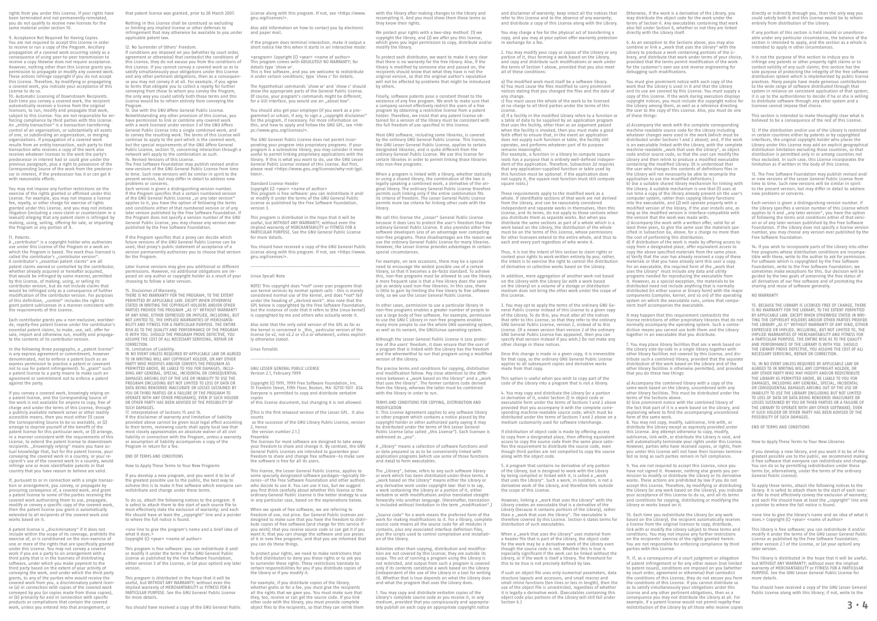that patent license was granted, prior to 28 March 2007.

If conditions are imposed on you (whether by court order, agreement or otherwise) that contradict the conditions of greement of otherwise, that contradict the condition<br>his License, they do not excuse you from the conditio this License. If you cannot convey a covered work so as to satisfy simultaneously your obligations under this License and any other pertinent obligations, then as a consequer ce you may not convey it at all. For example, if you agree to terms that obligate you to collect a royalty for further conveying from those to whom you convey the Program, the only way you could satisfy both those terms and this License would be to refrain entirely from conveying the rogram

Nothing in this License shall be construed as excluding or limiting any implied license or other defenses to infringement that may otherwise be available to you under applicable patent law.

12. No Surrender of Others' Freedom.

13. Use with the GNU Affero General Public License. Notwithstanding any other provision of this License, you have permission to link or combine any covered work with a work licensed under version 3 of the GNU Afferd General Public License into a single combined work, and when we have a single combined work. to convey the resulting work. The terms of this License will continue to apply to the part which is the covered work but the special requirements of the GNU Affero General Public License, section 13, concerning interaction through a network will apply to the combination as such. twork will apply to the combination.<br>. Revised Versions of this License.

The Free Software Foundation may publish revised and/or new versions of the GNU General Public License from time to time. Such new versions will be similar in spirit to the present version, but may differ in detail to address new

16. Limitation of Liability. IN NO EVENT UNLESS REQUIRED BY APPLICABLE LAW OR AGREED TO IN WRITING WILL ANY COPYRIGHT HOLDER, OR ANY OTHER PARTY WHO MODIFIES AND/OR CONVEYS THE PROGRAM AS PERMITTED ABOVE, BE LIABLE TO YOU FOR DAMAGES, INCLU-DING ANY GENERAL, SPECIAL, INCIDENTAL OR CONSEQUENTIAL DAMAGES ARISING OUT OF THE USE OR INABILITY TO USE THE PROGRAM (INCLUDING BUT NOT LIMITED TO LOSS OF DATA OR DATA BEING RENDERED INACCURATE OR LOSSES SUSTAINED BY YOU OR THIRD PARTIES OR A FAILURE OF THE PROGRAM TO OPERATE WITH ANY OTHER PROGRAMS), EVEN IF SUCH HOLDER OR OTHER PARTY HAS BEEN ADVISED OF THE POSSIBILITY OF SUCH DAMAGES.

problems or concerns. Each version is given a distinguishing version number. If the Program specifies that a certain numbered version of the GNU General Public License "or any later version" applies to it, you have the option of following the terms and conditions either of that numbered version or of any and conditions effer of that hambered version of care the Program does not specify a version number of the GNU General Public License, you may choose any version ever published by the Free Software Foundation.

If you develop a new program, and you want it to be of the greatest possible use to the public, the best way to achieve this is to make it free software which everyone can redistribute and change under these terms.

To do so, attach the following notices to the program. It is safest to attach them to the start of each source file to most effectively state the exclusion of warranty; and each file should have at least the "copyright" line and a pointer<br>to where the full notice is found.

If the Program specifies that a proxy can decide which future versions of the GNU General Public License can be used, that proxy's public statement of acceptance of a version permanently authorizes you to choose that version for the Program.

Later license versions may give you additional or different permissions. However, no additional obligations are imposed on any author or copyright holder as a result of your choosing to follow a later version.

### 15. Disclaimer of Warranty.

Also add information on how to contact you by electronic and paper mail.

If the program does terminal interaction, make it output a short notice like this when it starts in an interactive mode:

THERE IS NO WARRANTY FOR THE PROGRAM, TO THE EXTENT PERMITTED BY APPLICABLE LAW. EXCEPT WHEN OTHERWISE STATED IN WRITING THE COPYRIGHT HOLDERS AND/OR OTHER PARTIES PROVIDE THE PROGRAM "AS IS" WITHOUT WARRANTY OF ANY KIND, EITHER EXPRESSED OR IMPLIED, INCLUDING, BUT NOT LIMITED TO, THE IMPLIED WARRANTIES OF MERCHANTA-BILITY AND FITNESS FOR A PARTICULAR PURPOSE. THE ENTIRE RISK AS TO THE QUALITY AND PERFORMANCE OF THE PROGRAM IS WITH YOU. SHOULD THE PROGRAM PROVE DEFECTIVE, YOU ASSUME THE COST OF ALL NECESSARY SERVICING, REPAIR OR CORRECTION.

You should have received a copy of the GNU General Public License along with this program. If not, see <https://www. gnu.org/licenses/>.

17. Interpretation of Sections 15 and 16. If the disclaimer of warranty and limitation of liability provided above cannot be given local legal effect according to their terms, reviewing courts shall apply local law that most closely approximates an absolute waiver of all civil liability in connection with the Program, unless a warranty or assumption of liability accompanies a copy of the Program in return for a fee.

END OF TERMS AND CONDITIONS

2, hence  $\epsilon$ , nence<br>the version number 2.1.]

How to Apply These Terms to Your New Programs

<one line to give the program's name and a brief idea of what it does.> Copyright (C) <year> <name of author>

For example, if you distribute copies of the library, whether gratis or for a fee, you must give the recipients all the rights that we gave you. You must make sure that they, too, receive or can get the source code. If you link other code with the library, you must provide complete object files to the recipients, so that they can relink them products or compilations that contain the covered You should have received a copy of the GMU General Public object files to the recipients, so that they can relink them tely publish on each copy an appropriate copyright n

This program is free software: you can redistribute it and/ or modify it under the terms of the GNU General Public License as published by the Free Software Foundation, either version 3 of the License, or (at your option) any later version.

This program is distributed in the hope that it will be useful, but WITHOUT ANY WARRANTY; without even the implied warranty of MERCHANTABILITY or FITNESS FOR A PARTICULAR PURPOSE. See the GNU General Public License for more details.

You should have received a copy of the GNU General Public

License along with this program. If not, see <https://www. gnu.org/licenses/>.

<program> Copyright (C) <year> <name of author> This program comes with ABSOLUTELY NO WARRANTY; for details type `show w'. This is free software, and you are welcome to redistribute it under certain conditions; type `show c' for details.

The hypothetical commands `show w' and `show  $c'$  should show the appropriate parts of the General Public License. Of course, your program's commands might be different; for a GUI interface, you would use an "about box'

> We call this license the "Lesser" General Public License because it does Less to protect the user's freedom than the ordinary General Public License. It also provides other free software developers Less of an advantage over competing non-free programs. These disadvantages are the reason we use the ordinary General Public License for many libraries. However, the Lesser license provides advantages in certain special circumstances.

You should also get your employer (if you work as a programmer) or school, if any, to sign a "copyright disclaimer"<br>for the program, if necessary. For more information on this, and how to apply and follow the GNU GPL, see <htt-ps://www.gnu.org/licenses/>.

The GNU General Public License does not permit incorporating your program into proprietary programs. If your program is a subroutine library, you may consider it more useful to permit linking proprietary applications with the library. If this is what you want to do, use the GNU Lesser General Public License instead of this License. But first, please read <https://www.gnu.org/licenses/why-not-lgpl. html>.

> The precise terms and conditions for copying, distribution and modification follow. Pay close attention to the difference between a "work based on the library" and a "work<br>that uses the library". The former contains code derived from the library, whereas the latter must be combined with the library in order to run.

# Standard License Header

Copyright (C) <year> <name of author> This program is free software: you can redistribute it and/ or modify it under the terms of the GNU General Public License as published by the Free Software Foundation, version 3.

> MODIFICATION 0. This License Agreement applies to any software library or other program which contains a notice placed by the copyright holder or other authorized party saying it may be distributed under the terms of this Lesser General Public License (also called "this License"). Each licensee is addressed as "you"

> A "library" means a collection of software functions and/<br>or data prepared so as to be conveniently linked with application programs (which use some of those functions apprication programs (innen o

The library" helow, refers to any such software library or work which has been distributed under these terms. A "work based on the Library" means either the Library or any derivative work under copyright law: that is to say, any derivative trent ander copyingne rather that is to say verbatim or with modifications and/or translated straightforwardly into another language. (Hereinafter, translation<br>is included without limitation in the term "modification".)

This program is distributed in the hope that it will be useful, but WITHOUT ANY WARRANTY; without even the implied warranty of MERCHANTABILITY or FITNESS FOR A PARTICULAR PURPOSE. See the GNU General Public License for more details.

--------------------------------------------------------------

Linux Syscall Note

Source code" for a work means the preferred form of the work for making modifications to it. For a library, complete source code means all the source code for all modules it contains, plus any associated interface definition files, plus the scripts used to control compilation and installation of the library.

NOTE! This copyright does \*not\* cover user programs that use kernel services by normal system calls - this is merely considered normal use of the kernel, and does \*not\* fall under the heading of "derived work". Also note that the GPL below is copyrighted by the Free Software Foundation, but the instance of code that it refers to (the Linux kernel) is copyrighted by me and others who actually wrote it.

Also note that the only valid version of the GPL as far as the kernel is concerned is \_this\_ particular version of the license (ie v2, not v2.2 or v3.x or whatever), unless explicitly otherwise stated.

Linus Torvalds

--------------------------------------------------------------

GNU LESSER GENERAL PUBLIC LICENSE Version 2.1, February 1999

Copyright (C) 1991, 1999 Free Software Foundation, Inc. 51 Franklin Street, Fifth Floor, Boston, MA 02110-1301 USA Everyone is permitted to copy and distribute verbatim copies of this license document, but changing it is not allowed.

d) If a facility in the modified Library refers to a function or a table of data to be supplied by an application program that uses the facility, other than as an argument passed when the facility is invoked, then you must make a good faith effort to ensure that, in the event an application does not supply such function or table, the facility still operates, and performs whatever part of its purpose emains meaningful.

[This is the first released version of the Lesser GPL. It also counts as the successor of the GNU Library Public License, version

Preamble

The licenses for most software are designed to take away your freedom to share and change it. By contrast, the GNU General Public Licenses are intended to guarantee your freedom to share and change free software--to make sure the software is free for all its users.

This license, the Lesser General Public License, applies to some specially designated software packages--typically lib-raries--of the Free Software Foundation and other authors who decide to use it. You can use it too, but we suggest you first think carefully about whether this license or the ordinary General Public License is the better strategy to use in any particular case, based on the explanations below.

When we speak of free software, we are referring to freedom of use, not price. Our General Public Licenses are designed to make sure that you have the freedom to distribute copies of free software (and charge for this service if you wish); that you receive source code or can get it if you want it; that you can change the software and use pieces of it in new free programs; and that you are informed that you can do these things.

4. You may copy and distribute the Library (or a portion or derivative of it, under Section 2) in object code or executable form under the terms of Sections 1 and 2 above provided that you accompany it with the complete corresponding machine-readable source code, which must be distributed under the terms of Sections 1 and 2 above on a medium customarily used for software interchange.

To protect your rights, we need to make restrictions that forbid distributors to deny you these rights or to ask you to surrender these rights. These restrictions translate to certain responsibilities for you if you distribute copies of the library or if you modify it.

However, linking a "work that uses the Library" with the<br>Library creates an executable that is a derivative of the Library (because it contains portions of the Library), rather than a "work that uses the library". The executable is<br>therefore covered by this License. Section 6 states terms for distribution of such executables.

with the library after making changes to the library and recompleted including interacting the terms of the state of the state of the state of the state of the state o they know their rights.

We protect your rights with a two-step method: (1) we copyright the library, and (2) we offer you this license, which gives you legal permission to copy, distribute and/or modify the library.

> When a "work that uses the Library" uses material from a header file that is part of the Library, the object code for the work may be a derivative work of the Library even<br>for the work may be a derivative work of the Library even though the source code is not. Whether this is true is especially significant if the work can be linked without the Library, or if the work is itself a library. The threshold for this to be true is not precisely defined by law.

To protect each distributor, we want to make it very clear that there is no warranty for the free library. Also, if the library is modified by someone else and passed on, the recipients should know that what they have is not the original version, so that the original author's reputation will not be affected by problems that might be introduced by others.

Finally, software patents pose a constant threat to the existence of any free program. We wish to make sure that a company cannot effectively restrict the users of a free program by obtaining a restrictive license from a patent holder. Therefore, we insist that any patent license ob-tained for a version of the library must be consistent with the full freedom of use specified in this license.

Most GNU software, including some libraries, is covered by the ordinary GNU General Public License. This license, the GNU Lesser General Public License, applies to certain designated libraries, and is quite different from the ordinary General Public License. We use this license for certain libraries in order to permit linking those libraries into non-free programs.

> c) Accompany the work with a written offer, valid for at least three years, to give the same user the materials specified in Subsection 6a, above, for a charge no more than the cost of performing this distribution.

d) If distribution of the work is made by offering access to copy from a designated place, offer equivalent access to copy the above specified materials from the same place. e) Verify that the user has already received a copy of these materials or that you have already sent this user a copy. For an executable, the required form of the "work that uses the Library" must include any data and utility programs needed for reproducing the executable from it. However, as a special exception, the materials to be distributed need not include anything that is normally distributed (in either source or binary form) with the major components (compiler, kernel, and so on) of the operating system on which the executable runs, unless that component itself accompanies the executable

When a program is linked with a library, whether statically or using a shared library, the combination of the two is legally speaking a combined work, a derivative of the original library. The ordinary General Public License therefore permits such linking only if the entire combination fits its criteria of freedom. The Lesser General Public Licents permits more lax criteria for linking other code with the library.

For example, on rare occasions, there may be a special need to encourage the widest possible use of a certain library, so that it becomes a de-facto standard. To achieve this, non-free programs must be allowed to use the library. A more frequent case is that a free library does the same job as widely used non-free libraries. In this case, there is little to gain by limiting the free library to free software only, so we use the Lesser General Public License.

In other cases, permission to use a particular library in non-free programs enables a greater number of people to use a large body of free software. For example, permission to use the GNU C Library in non-free programs enables many more people to use the whole GNU operating system, as well as its variant, the GNU/Linux operating system.

Although the Lesser General Public License is Less protective of the users' freedom, it does ensure that the user of a program that is linked with the Library has the freedom and the wherewithal to run that program using a modified version of the Library.

TERMS AND CONDITIONS FOR COPYING, DISTRIBUTION AND

Activities other than copying, distribution and modifica-tion are not covered by this License; they are outside its scope. The act of running a program using the Library is not restricted, and output from such a program is covered only if its contents constitute a work based on the Library for the contents constitute a work based on the Elbrary<br>dependent of the use of the Library in a tool for writing it). Whether that is true depends on what the Library does and what the program that uses the Library does.

1. You may copy and distribute verbatim copies of the Library's complete source code as you receive it, in any medium, provided that you conspicuously and appropriately publish on each copy an appropriate copyright notice

To apply these terms, attach the following notices to the library. It is safest to attach them to the start of each source file to most effectively convey the exclusion of warranty; and each file should have at least the "copyright" line and<br>a pointer to where the full notice is found.

and disclaimer of warranty; keep intact all the notices that refer to this License and to the absence of any warra and distribute a copy of this License along with the Library.

> <one line to give the library's name and an idea of what it does.> Copyright (C) <year> <name of author>

You may charge a fee for the physical act of transferring a copy, and you may at your option offer warranty protection in exchange for a fee.

2. You may modify your copy or copies of the Library or any portion of it, thus forming a work based on the Library, and copy and distribute such modifications or work under the terms of Section 1 above, provided that you also meet all of these conditions:

a) The modified work must itself be a software library. b) You must cause the files modified to carry promi notices stating that you changed the files and the date of any change.

c) You must cause the whole of the work to be licensed at no charge to all third parties under the terms of this License.

(For example, a function in a library to compute square roots has a purpose that is entirely well-defined indepen-dent of the application. Therefore, Subsection 2d requires that any application-supplied function or table used by this function must be optional: if the application does not supply it, the square root function must still compute square roots.)

These requirements apply to the modified work as a whole. If identifiable sections of that work are not derived from the Library, and can be reasonably considered independent and separate works in themselves, then this Independent and separate works in themselves, then this<br>license, and its terms, do not apply to those sections when you distribute them as separate works. But when you distribute the same sections as part of a whole which is a work based on the Library, the distribution of the whole must be on the terms of this License, whose permissions for other licensees extend to the entire whole, and thus to each and every part regardless of who wrote it.

A "contributor" is a copyright holder who authorizes use under this License of the Program or a work on which the Program is based. The work thus licensed is<br>called the contributor's "contributor version". A contributor's ..essential patent claims" are all patent claims owned or controlled by the contributor, whether already acquired or hereafter acquired, that would be infringed by some manner, permitted by this License, of making, using, or selling its contributor version, but do not include claims that would be infringed only as a consequence of further modification of the contributor version. For purposes of this definition, "control" includes the right to grant patent sublicenses in a manner consistent with the requirements of this License.

Each contributor grants you a non-exclusive, worldwide, royalty-free patent license under the contributor's essential patent claims, to make, use, sell, offer for sale, import and otherwise run, modify and propagathe contents of its contributor version.

In the following three paragraphs, a "patent license"<br>is any express agreement or commitment, however denominated, not to enforce a patent (such as an express permission to practice a patent or cov not to sue for patent infringement). To ..grant" such a patent license to a party means to make such an agreement or commitment not to enforce a patent against the party.

Thus, it is not the intent of this section to claim rights or contest your rights to work written entirely by you; rather, the intent is to exercise the right to control the distribution of derivative or collective works based on the Library.

In addition, mere aggregation of another work not based on the Library with the Library (or with a work based on the Library) on a volume of a storage or distribution medium does not bring the other work under the scope of this License.

If you convey a covered work, knowingly relying or a patent license, and the Corresponding Source of the work is not available for anyone to copy, free of charge and under the terms of this License, through a publicly available network server or other readily accessible means, then you must either (1) cause the Corresponding Source to be so available, or (2) arrange to deprive yourself of the benefit of the patent license for this particular work, or (3) arrange in a manner consistent with the requirements of this License, to extend the patent license to downstream recipients. "Knowingly relying" means you have ac-<br>tual knowledge that, but for the patent license, your conveying the covered work in a country, or your recipient's use of the covered work in a country, would infringe one or more identifiable patents in that country that you have reason to believe are valid.

3. You may opt to apply the terms of the ordinary GNU General Public License instead of this License to a given copy of the Library. To do this, you must alter all the notices that refer to this License, so that they refer to the ordinary GNU General Public License, version 2, instead of to this License. (If a newer version than version 2 of the ordinary GNU General Public License has appeared, then you can specify that version instead if you wish.) Do not make any other change in these notices.

Once this change is made in a given copy, it is irreversible for that copy, so the ordinary GNU General Public License applies to all subsequent copies and derivative works made from that copy.

A patent license is discriminatory" if it does not include within the scope of its coverage, prohibits the exercise of, or is conditioned on the non-exercise of one or more of the rights that are specifically granted under this License. You may not convey a covered work if you are a party to an arrangement with a third party that is in the business of distributing software, under which you make payment to the third party based on the extent of your activity of conveying the work, and under which the third party grants, to any of the parties who would receive the covered work from you, a discriminatory patent license (a) in connection with copies of the covered work conveyed by you (or copies made from those copies), or (b) primarily for and in connection with specific products or compilations that contain the covered

This option is useful when you wish to copy part of the code of the Library into a program that is not a library.

If distribution of object code is made by offering access to copy from a designated place, then offering equivalent access to copy the source code from the same place satisfies the requirement to distribute the source code, even though third parties are not compelled to copy the source along with the object code.

5. A program that contains no derivative of any portion of the Library, but is designed to work with the Library by being compiled or linked with it, is called a "work<br>that uses the Library". Such a work, in isolation, is not a derivative work of the Library, and therefore falls outside the scope of this License.

If such an object file uses only numerical parameters, data structure layouts and accessors, and small macros and small inline functions (ten lines or less in length), then the use of the object file is unrestricted, regardless of whether it is legally a derivative work. (Executables containing this object code plus portions of the Library will still fall under Section 6.)

directly with the Library itself.

debugging such modifications.

Otherwise, if the work is a derivative of the Library, you may distribute the object code for the work under the terms of Section 6. Any executables containing that work also fall under Section 6, whether or not they are linked

6. As an exception to the Sections above, you may also combine or link a "work that uses the Library" with the Library to produce a work containing portions of the Library, and distribute that work under terms of your choice, provided that the terms permit modification of the work for the customer's own use and reverse engineering for

You must give prominent notice with each copy of the work that the Library is used in it and that the Library and its use are covered by this License. You must supply a copy of this License. If the work during execution displays copyright notices, you must include the copyright notice for the Library among them, as well as a reference directing the user to the copy of this License. Also, you must do one

of these things:

a) Accompany the work with the complete corresponding machine-readable source code for the Library including whatever changes were used in the work (which must be distributed under Sections 1 and 2 above); and, if the work is an executable linked with the Library, with the complete machine-readable ..work that uses the Library", as object code and/or source code, so that the user can modify the Library and then relink to produce a modified executable containing the modified Library. (It is understood that the user who changes the contents of definitions files in the Library will not necessarily be able to recompile the application to use the modified definitions.)

b) Use a suitable shared library mechanism for linking with the Library. A suitable mechanism is one that (1) uses at run time a copy of the library already present on the user's computer system, rather than copying library functions into the executable, and (2) will operate properly with a modified version of the library, if the user installs one, as long as the modified version is interface-compatible with the version that the work was made with.

It may happen that this requirement contradicts the license restrictions of other proprietary libraries that do not normally accompany the operating system. Such a contra-diction means you cannot use both them and the Library together in an executable that you distribute.

7. You may place library facilities that are a work based on the Library side-by-side in a single library together with other library facilities not covered by this License, and distribute such a combined library, provided that the separate distribution of the work based on the Library and of the other library facilities is otherwise permitted, and provided that you do these two things:

a) Accompany the combined library with a copy of the same work based on the Library, uncombined with any other library facilities. This must be distributed under the terms of the Sections above.

b) Give prominent notice with the combined library of the fact that part of it is a work based on the Library, and explaining where to find the accompanying uncombined form of the same work.

8. You may not copy, modify, sublicense, link with, or distribute the Library except as expressly provided under this License. Any attempt otherwise to copy, modify, sublicense, link with, or distribute the Library is void, and will automatically terminate your rights under this License. However, parties who have received copies, or rights, from you under this License will not have their licenses terminated so long as such parties remain in full compliance.

9. You are not required to accept this License, since you have not signed it. However, nothing else grants you per-mission to modify or distribute the Library or its derivative works. These actions are prohibited by law if you do not accept this License. Therefore, by modifying or distributing the Library (or any work based on the Library), you indicate your acceptance of this License to do so, and all its terms and conditions for copying, distributing or modifying the Library or works based on it.

10. Each time you redistribute the Library (or any work based on the Library), the recipient automatically receives a license from the original licensor to copy, distribute, link with or modify the Library subject to these terms and conditions. You may not impose any further restrictions on the recipients' exercise of the rights granted herein. onsible for enforcing compliance by third parties with this License.

11. If, as a consequence of a court judgment or allegation of patent infringement or for any other reason (not limited to patent issues), conditions are imposed on you (whether by court order, agreement or otherwise) that contradict the conditions of this License, they do not excuse you from the conditions of this License. If you cannot distribute so as to satisfy simultaneously your obligations under this License and any other pertinent obligations, then as a consequence you may not distribute the Library at all. For example, if a patent license would not permit royalty-free redistribution of the Library by all those who receive copies

directly or indirectly through you, then the only way you could satisfy both it and this License would be to refrain entirely from distribution of the Library.

If any portion of this section is held invalid or unenforceable under any particular circumstance, the balance of the section is intended to apply, and the section as a whole is intended to apply in other circumstances.

It is not the purpose of this section to induce you to infringe any patents or other property right claims or to contest validity of any such claims; this section has the sole purpose of protecting the integrity of the free software distribution system which is implemented by public license practices. Many people have made generous contributions to the wide range of software distributed through that system in reliance on consistent application of that system; it is up to the author/donor to decide if he or she is willing to distribute software through any other system and a licensee cannot impose that choice.

This section is intended to make thoroughly clear what is believed to be a consequence of the rest of this License.

12. If the distribution and/or use of the Library is restricted in certain countries either by patents or by copyrighted interfaces, the original copyright holder who places the Library under this License may add an explicit geographical distribution limitation excluding those countries, so that distribution is permitted only in or among countries not thus excluded. In such case, this License incorporates the limitation as if written in the body of this License.

13. The Free Software Foundation may publish revised and/ or new versions of the Lesser General Public License from time to time. Such new versions will be similar in spirit to the present version, but may differ in detail to address new problems or concerns.

Each version is given a distinguishing version number. If the Library specifies a version number of this License which applies to it and "any later version", you have the option of following the terms and conditions either of that version or of any later version published by the Free Software Foundation. If the Library does not specify a license version number, you may choose any version ever published by the Free Software Foundation.

14. If you wish to incorporate parts of the Library into other free programs whose distribution conditions are incompa-tible with these, write to the author to ask for permission. For software which is copyrighted by the Free Software Foundation, write to the Free Software Foundation; we sometimes make exceptions for this. Our decision will be guided by the two goals of preserving the free status of all derivatives of our free software and of promoting the sharing and reuse of software generally.

# NO WARRANTY

15. BECAUSE THE LIBRARY IS LICENSED FREE OF CHARGE, THERE IS NO WARRANTY FOR THE LIBRARY, TO THE EXTENT PERMITTED BY APPLICABLE LAW. EXCEPT WHEN OTHERWISE STATED IN WRI-TING THE COPYRIGHT HOLDERS AND/OR OTHER PARTIES PROVIDE HE LIBRARY "AS IS" WITHOUT WARRANTY OF ANY KIND, EITHER EXPRESSED OR IMPLIED, INCLUDING, BUT NOT LIMITED TO, THE IMPLIED WARRANTIES OF MERCHANTABILITY AND FITNESS FOR A PARTICULAR PURPOSE. THE ENTIRE RISK AS TO THE QUALITY AND PERFORMANCE OF THE LIBRARY IS WITH YOU. SHOULD THE LIBRARY PROVE DEFECTIVE, YOU ASSUME THE COST OF ALL NECESSARY SERVICING, REPAIR OR CORRECTION.

16. IN NO EVENT UNLESS REQUIRED BY APPLICABLE LAW OR AGREED TO IN WRITING WILL ANY COPYRIGHT HOLDER, OR ANY OTHER PARTY WHO MAY MODIFY AND/OR REDISTRIBUTE THE LIBRARY AS PERMITTED ABOVE, BE LIABLE TO YOU FOR DAMAGES, INCLUDING ANY GENERAL, SPECIAL, INCIDENTAL OR CONSEQUENTIAL DAMAGES ARISING OUT OF THE USE OR INABILITY TO USE THE LIBRARY (INCLUDING BUT NOT LIMITED TO LOSS OF DATA OR DATA BEING RENDERED INACCURATE OR LOSSES SUSTAINED BY YOU OR THIRD PARTIES OR A FAILURE OF THE LIBRARY TO OPERATE WITH ANY OTHER SOFTWARE), EVEN IF SUCH HOLDER OR OTHER PARTY HAS BEEN ADVISED OF THE POSSIBILITY OF SUCH DAMAGES.

END OF TERMS AND CONDITIONS

How to Apply These Terms to Your New Libraries

If you develop a new library, and you want it to be of the greatest possible use to the public, we recommend making it free software that everyone can redistribute and change. You can do so by permitting redistribution under these terms (or, alternatively, under the terms of the ordinary General Public License).

This library is free software; you can redistribute it and/or modify it under the terms of the GNU Lesser General Public License as published by the Free Software Foundation; either version 2.1 of the License, or (at your option) any later version.

This library is distributed in the hope that it will be useful, but WITHOUT ANY WARRANTY; without even the implied Warranty of MERCHANTABILITY or FITNESS FOR A PARTICULAR PURPOSE. See the GNU Lesser General Public License for more details.

You should have received a copy of the GNU Lesser General Public License along with this library; if not, write to the



rights from you under this License. If your rights have between the second region you do not qualify to receive new licenses for the same material under section 10.

9. Acceptance Not Required for Having Copies. You are not required to accept this License in order to receive or run a copy of the Program. Ancillary propagation of a covered work occurring solely as a consequence of using peer-to-peer transmission to receive a copy likewise does not require acceptance. However, nothing other than this License grants you permission to propagate or modify any covered work. These actions infringe copyright if you do not accept this License. Therefore, by modifying or propagating a covered work, you indicate your acceptance of this License to do so.

10. Automatic Licensing of Downstream Recipients. Each time you convey a covered work, the recipient automatically receives a license from the original licensors, to run, modify and propagate that work, subject to this License. You are not responsible for enforcing compliance by third parties with this License. An "entity transaction" is a transaction transferring<br>control of an organization, or substantially all assets of one, or subdividing an organization, or merging organizations. If propagation of a covered work results from an entity transaction, each party to that transaction who receives a copy of the work also receives whatever licenses to the work the party's predecessor in interest had or could give under previous paragraph, plus a right to possession of the Corresponding Source of the work from the predecessor in interest, if the predecessor has it or can get it with reasonable efforts.

You may not impose any further restrictions on the exercise of the rights granted or affirmed under this License. For example, you may not impose a license fee, royalty, or other charge for exercise of rights granted under this License, and you may not initiate granted ander this accrise, and you in<br>litigation (including a cross-claim or co lawsuit) alleging that any patent claim is infringed by making, using, selling, offering for sale, or importing the Program or any portion of it.

# 11. Patents.

If, pursuant to or in connection with a single transaction or arrangement, you convey, or propagate by procuring conveyance of, a covered work, and grant a patent license to some of the parties receiving the covered work authorizing them to use, propagate, modify or convey a specific copy of the covered work, then the patent license you grant is automatically extended to all recipients of the covered work and works based on it.